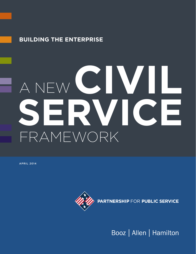### **Building the Enterprise**

# A NEW FRAMEWORK **CIVILLE SERVICE**

APRIL 2014



Booz | Allen | Hamilton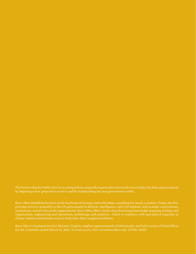by inspiring a new generation to serve and by transforming the way government works.

provides services primarily to the US government in defense, intelligence, and civil markets, and to major corporations, institutions, and not-for-profit organizations. Booz Allen offers clients deep functional knowledge spanning strategy and organization, engineering and operations, technology, and analytics—which it combines with specialized expertise in clients' mission and domain areas to help solve their toughest problems.

Booz Allen is headquartered in McLean, Virginia, employs approximately 25,000 people, and had revenue of \$5.86 billion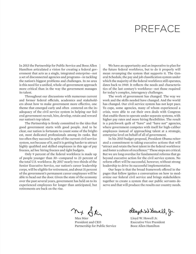### PREFACE

In 2013 the Partnership for Public Service and Booz Allen Hamilton articulated a vision for creating a federal government that acts as a single, integrated enterprise—not a set of disconnected agencies and programs—in tackling the nation's biggest problems and challenges. In no area is this need for a unified, whole-of-government approach more critical than in the way the government manages its talent.

Throughout our discussions with numerous current and former federal officials, academics and stakeholders about how to make government more effective, one theme that emerged early and often centered on the inadequacy of the civil service system in helping our federal government recruit, hire, develop, retain and reward our nation's top talent.

The Partnership is firmly committed to the idea that good government starts with good people. And to be clear, our nation is fortunate to count some of the brightest, most dedicated professionals among its ranks. But too often they succeed in spite of the current civil service system, not because of it, and it is getting harder to attract highly qualified and skilled employees in this age of pay freezes, ad hoc hiring freezes and tight budgets.

Only 9 percent of the federal workforce is made up of people younger than 30—compared to 23 percent of the total U.S. workforce. By 2017 nearly two-thirds of the Senior Executive Service, our nation's career leadership corps, will be eligible for retirement, and about 31 percent of the government's permanent career employees will be able to head out the door. Given the state of the economy over the past several years, government has held on to its experienced employees for longer than anticipated, but retirements are back on the rise.

We have an opportunity and an imperative to plan for the future federal workforce, but to do it properly will mean revamping the system that supports it. The General Schedule, the pay and job classification system under which the majority of the federal workforce still operates, dates back to 1949. It reflects the needs and characteristics of the last century's workforce—not those required for today's complex, interagency challenges.

The work of government has changed. The way we work and the skills needed have changed. And the world has changed. Our civil service system has not kept pace. To cope, some agencies, many of whom experienced a crisis, were able to cut their own deals with Congress that enable them to operate under separate systems, with higher pay rates and more hiring flexibilities. The result is a patchwork quilt of "have" and "have not" agencies, where government competes with itself for high-caliber employees instead of approaching talent at a strategic, enterprise level on behalf of all of government.

In his 2015 budget proposal, President Obama reiterated a commitment to taking executive actions that will "attract and retain the best talent in the federal workforce and foster a culture of excellence." These steps are critical. But we are long overdue for fundamental reforms that go beyond executive action for the civil service system. No reform effort will be successful, however, without strong leadership to drive its successful implementation.

Our hope is that the broad framework offered in the pages that follow ignites a conversation on how to modernize our federal civil service and brings stakeholders together to create a system that our public servants deserve and that will produce the results our country needs.

ny Stir

Max Stier Lloyd W. Howell Jr. President and CEO Executive Vice President Partnership for Public Service Booz Allen Hamilton

Heyd W Howell, Jr.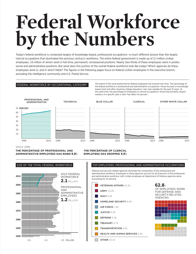# **Federal Workforce by the Numbers**

Today's federal workforce is composed largely of knowledge-based, professional occupations—a much different picture than the largely clerical occupations that dominated the previous century's workforce. The entire federal government is made up of 2.1 million civilian employees, 1.8 million of whom work in full-time, permanent, nonseasonal positions. Nearly two-thirds of these employees work in professional and administrative positions. But what does this portion of the overall federal workforce look like today? Which agencies do these employees work in, and in which fields? The figures in the following pages focus on federal civilian employees in the executive branch, excluding the intelligence community and U.S. Postal Service.

FEDERAL WORKFORCE BY OCCUPATIONAL CATEGORY The nature of the work performed by federal employees has evolved over time. The percentage of the federal workforce in professional and administrative occupations—those focused on knowledgebased work and often requiring college education—has risen steadily for the past 15 years. At the same time, the percentage of employees in clerical occupations—those that primarily require mastery of a specific task or skill—has fallen 4.6 percent.



SINCE 1998

**1940**

**the PERCENTage of professional and administrative employees has risen 9.8**%

#### **the PERCENTage of CLERICAL employees has dropped 4.6**%

#### **2010** SIZE OF THE TOTAL FEDERAL WORKFORCE **1960 1980 2000 1950 1970 1990** 2013 FEDERAL **WORKFORCE 2.1**MILLION PROFESSIONAL AND ADMINISTRATIVE EMPLOYEES **1.2**MILLION

0.5 1.5 2.5 MILLION

### Top Employers: PROFESSIONAL AND ADMINISTRATIVE OCCUPATIONS

Defense and security-related agencies dominate the composition of the professional and administrative workforce. Employees in these agencies account for 62.8 percent of the professional and administrative workforce, with civilian employees at Department of Defense agencies alone accounting for 34 percent.



#### **62.8**%

OF EMPLOYEES WORK FOR DEFENSE AND SECURITY-RELATED AGENCIES

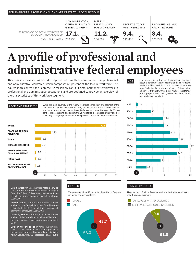

# **A profile of professional and administrative federal employees**

This new civil service framework proposes reforms that would affect the professional and administrative workforce, which comprises 65 percent of the federal workforce. The figures in this spread focus on the 1.2 million civilian, full-time, permanent employees in professional and administrative occupations and are designed to provide an overview of the characteristics of this workforce segment.

RACE AND ETHNICITY While the racial diversity of the federal workforce varies from one segment of the RACE AND ETHNICITY workforce to another, the racial diversity of the professional and administrative workforce closely mirrors that of the entire federal workforce. For example, 30 percent of the professional and administrative workforce is composed of individuals of a minority racial group, compared to 33.2 percent of the entire federal workforce.



Data Sources: Unless otherwise noted below, all data are from FedScope (fedscope.opm.gov), from the Office of Personnel Management, for all full-time, nonseasonal, permanent employees (Sept. 2013).

Veteran Status: Partnership for Public Service analysis of the Central Personnel Data File (now called the EHRI-SDM) for full-time, nonseasonal, permanent employees (Sept. 2012).

Disability Status: Partnership for Public Service analysis of the Central Personnel Data File for fulltime, nonseasonal, permanent employees (Sept. 2011).

Data on the civilian labor force: "Employment status of the civilian noninstitutional population by age, sex, and race," Bureau of Labor Statistics, http://1.usa.gov/1geGOD3 (accessed Feb. 25, 2014).

#### GENDER

Women account for 43.7 percent of the entire professional and administrative workforce.





Employees under 30 years of age account for only about 6 percent of the professional and administrative workforce. This stands in contrast to the civilian workforce (including the private sector), where 23 percent of employees are under 30 years old. Many of the reforms in this proposal could help government better attract and retain younger talent.



#### DISABILITY STATUS

Nine percent of all professional and administrative employees report having a disability.

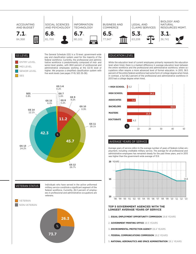



The General Schedule (GS) is a 15-level, government-wide pay and classification system used for the majority of the federal workforce. Currently, the professional and administrative workforce is predominantly composed of mid- and senior-level grades, with 88.8 percent of professional and administrative employees working at the GS-10 level or higher. We propose a simplified classification system with five work levels (see pages 17-19, SES 35-38).



While the education level of current employees primarily represents the education level when hired, there is a marked difference in average education level between the entire workforce and the professional and administrative workforce, where occupations often require a more advanced level of formal education. In 2013, 58.5 percent of the entire federal workforce had some form of college degree when hired. In contrast, a full 68.2 percent of the professional and administrative workforce in 2013 had a college degree when hired.



**VETERAN STATUS** 

Individuals who have served in the active uniformed military service constitute a significant segment of the federal workforce. Currently, 26.3 percent of employees in professional and administrative occupations are veterans.





#### Average years of service

Average years of service refers to the average number of years of federal civilian employment, including creditable military service. The average for all professional and administrative employees has remained steady for the past three years, and in 2013 was higher than the government-wide average of 13.9.



#### **TOP 5 GOVERNMENT AGENCIES WITH THE LONGEST AVERAGE YEARS OF SERVICE**

- 1. **EQUAL EMPLOYMENT OPPORTUNITY COMMISSION** 19.8 YEARS
- 2. **GOVERNMENT PRINTING OFFICE** 19.5 YEARS
- 3. **ENVIRONMENTAL PROTECTION AGENCY** 19.4 YEARS
- 4. **FEDERAL COMMUNICATIONS COMMISSION** 19.2 YEARS
- 5. **NATIONAL AERONAUTICS AND SPACE ADMINISTRATION** 19.1 YEARS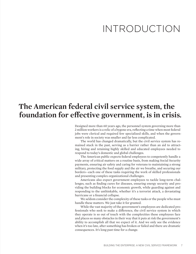### INTRODUCTION

### **The American federal civil service system, the foundation for effective government, is in crisis.**

Designed more than 60 years ago, the personnel system governing more than 2 million workers is a relic of a bygone era, reflecting a time when most federal jobs were clerical and required few specialized skills, and when the government's role in society was smaller and far less complicated.

The world has changed dramatically, but the civil service system has remained stuck in the past, serving as a barrier rather than an aid to attracting, hiring and retaining highly skilled and educated employees needed to respond to today's domestic and global challenges.

The American public expects federal employees to competently handle a wide array of critical matters on a routine basis, from making Social Security payments, ensuring air safety and caring for veterans to maintaining a strong military, protecting the food supply and the air we breathe, and securing our borders—each one of these tasks requiring the work of skilled professionals and presenting complex organizational challenges.

Americans also expect government employees to tackle long-term challenges, such as finding cures for diseases, ensuring energy security and providing the building blocks for economic growth, while guarding against and responding to the unthinkable, whether it's a terrorist attack, a devastating hurricane or a financial collapse.

We seldom consider the complexity of these tasks or the people who must handle these matters. We just take it for granted.

While the vast majority of the government's employees are dedicated professionals who seek to make a difference, the civil service system in which they operate is so out of touch with the complexities these employees face and places so many obstacles in their way that it puts at risk the government's ability to accomplish all that we expect of it. And we only see the evidence when it's too late, after something has broken or failed and there are dramatic consequences. It's long past time for a change.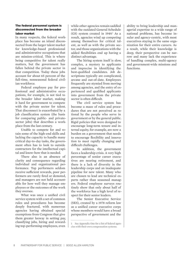#### The federal personnel system is disconnected from the broader labor market

In many respects, the federal workplace has become an island disconnected from the larger talent market for knowledge-based professional and administrative occupations that are mission-critical. This is where being competitive for talent really matters, but the government has fallen behind the private sector in that competition. Today these jobs account for about 65 percent of the full-time, nonseasonal federal civilian workforce.

Federal employee pay for professional and administrative occupations, for example, is not tied to the broader labor market, making it hard for government to compete with the private sector for talent. That disconnect is exacerbated by a job classification system (the basis for comparing public- and privatesector jobs) that describes a workplace from the last century.

Unable to compete for and retain some of the high-end skills and lacking the capacity to handle many critical day-to-day tasks, the government often has to look to outside contractors for the intellectual capital and know-how that is needed.

There also is an absence of clarity and consequence regarding individual and organizational performance. Top performers seldom receive sufficient rewards, poor performers are rarely fired or demoted, and managers are not held accountable for how well they manage employees or the outcomes of the work they oversee.

What was once a unified civil service system with a set of common rules and procedures has become deeply fractured, with numerous agencies having obtained special exemptions from Congress that give them greater leeway in setting pay, classifying jobs, hiring and rewarding top-performing employees, even

while other agencies remain saddled with the outdated General Schedule (GS) system created in 1949.<sup>1</sup> As a result, agencies wind up competing among themselves for critical talent, as well as with the private sector, and those organizations with the added flexibilities end up having a distinct advantage.

The hiring system itself is slow, complex, a mystery to applicants and imprecise in identifying the best-qualified candidates. Job descriptions typically are complicated, arcane and out-of-date. Employees frequently are stymied from moving among agencies, and the entry of experienced and qualified applicants into government from the private sector is often difficult.

The civil service system has become a maze of rules and procedures that are not perceived as rational by the people who serve in government or by the general public. Rigid policies that were designed to encourage long-term tenure and internal equity, for example, are now a burden on a government that needs to encourage flexibility and innovation to meet rapidly changing and difficult challenges.

In addition, the government faces a leadership crisis. A very high percentage of senior career executives are nearing retirement, and there is a lack of diversity in the leadership corps and an inadequate pipeline for new talent. Many who are chosen to lead are technical experts rather than seasoned managers. Federal employee surveys routinely show that only about half of the workforce has a high level of respect for their senior leaders.

The Senior Executive Service (SES), created by a 1978 reform law as a unified career executive corps whose members would have a broad perspective of government and the

ability to bring leadership and managerial expertise to a wide range of national problems, has become insular and agency-centric, with most executives staying in the same organization for their entire careers. As a result, while their knowledge is deep, their perspective can be narrow and many lack the experience of handling complex, multi-agency and government-wide missions and functions.

See Appendix One for a list of federal agencies with their own compensation systems.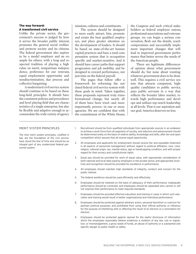#### The way forward: A transformed civil service

Unlike the private sector, the government's success is judged by how it serves the broader public interest, promotes the general social welfare and protects society and its citizens. The federal government also aspires to be a model employer and an example for others, with a long and respected tradition of placing a high value on merit, nonpartisan independence, preference for our veterans, equal employment opportunity and nondiscrimination, due process and collective bargaining.

A modernized civil service system should continue to be based on these long-held principles. It should have the consistent policies and procedures and level playing field that are characteristics of a single enterprise, but also be flexible and adaptive enough to accommodate the wide variety of agency

missions, cultures and constituents.

The system should be designed to more easily attract, hire, promote and retain the best qualified employees, and place greater attention on the development of leaders. It should be based on state-of-the-art human capital practices and have a total compensation system that is occupationspecific and market-sensitive. And it should have career paths that support progression and job mobility, and be designed to reward performance, not just time on the federal payroll.

The pages that follow offer a framework for reforming the outdated federal civil service system with these goals in mind. Taken together, these proposals represent truly transformational change, but nearly all of them have been tried—and more importantly, proven—in one or more agencies. We are confident that with the commitment of the White House, the Congress and such critical stakeholders as federal employee unions, professional associations and veterans groups, we can begin a serious conversation, flesh out the details, reach compromises and successfully implement important changes that will lead to improved government performance that better serves the needs of the American people.

There are legitimate differences of opinion about what government should do, but none about wanting whatever government does to be done well. This requires a civil service system that attracts competent, highquality candidates to public service, pays public servants in a way that reflects the broader labor market, rewards high performance and develops and utilizes top-notch leadership at all levels. That is our aspiration and our goal. America deserves no less.

#### Merit System Principles

The nine merit system principles, codified in law, are the foundation of the civil service, have stood the test of time and should be an integral part of any modernized federal personnel system.

- 1. Recruitment should be from qualified individuals from appropriate sources in an endeavor to achieve a work force from all segments of society, and selection and advancement should be determined solely on the basis of relative ability, knowledge and skills, after fair and open competition which assures that all receive equal opportunity.
- 2. All employees and applicants for employment should receive fair and equitable treatment in all aspects of personnel management without regard to political affiliation, race, color, religion, national origin, sex, marital status, age or handicapping condition, and with proper regard for their privacy and constitutional rights.
- 3. Equal pay should be provided for work of equal value, with appropriate consideration of both national and local rates paid by employers in the private sector, and appropriate incentives and recognition should be provided for excellence in performance.
- 4. All employees should maintain high standards of integrity, conduct and concern for the public interest.
- 5. The federal workforce should be used efficiently and effectively.
- 6. Employees should be retained on the basis of adequacy of their performance, inadequate performance should be corrected, and employees should be separated who cannot or will not improve their performance to meet required standards.
- 7. Employees should be provided effective education and training in cases in which such education and training would result in better organizational and individual performance.
- 8. Employees should be protected against arbitrary action, personal favoritism or coercion for partisan political purposes, and prohibited from using their official authority or influence for the purpose of interfering with or affecting the result of an election or a nomination for election.
- 9. Employees should be protected against reprisal for the lawful disclosure of information which the employees reasonably believe evidences a violation of any law, rule or regulation, or mismanagement, a gross waste of funds, an abuse of authority or a substantial and specific danger to public health or safety.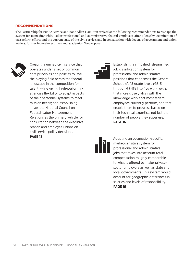#### **RECOMMENDATIONS**

The Partnership for Public Service and Booz Allen Hamilton arrived at the following recommendations to reshape the system for managing white-collar professional and administrative federal employees after a lengthy examination of past reform efforts and the current state of the civil service, and in consultation with dozens of government and union leaders, former federal executives and academics. We propose:



Creating a unified civil service that operates under a set of common core principles and policies to level the playing field across the federal landscape in the competition for talent, while giving high-performing agencies flexibility to adapt aspects of their personnel systems to meet mission needs; and establishing in law the National Council on Federal-Labor Management Relations as the primary vehicle for consultation between the executive branch and employee unions on civil service policy decisions. **PAGE 13**



Establishing a simplified, streamlined job classification system for professional and administrative positions that condenses the General Schedule's 15 grade levels (GS-5 through GS-15) into five work levels that more closely align with the knowledge work that most federal employees currently perform, and that enable them to progress based on their technical expertise, not just the number of people they supervise. **PAGE 16** 



Adopting an occupation-specific, market-sensitive system for professional and administrative jobs that takes into account total compensation roughly comparable to what is offered by major privatesector employers as well as state and local governments. This system would account for geographic differences in salaries and levels of responsibility. **PAGE 16**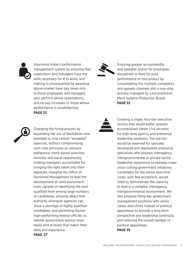

Improving today's performance management system by ensuring that supervisors and managers have the skills necessary for it to work, and making it consequential by awarding above-market base pay raises only to those employees and managers who perform above expectations, and no pay increases to those whose performance is unsatisfactory. **PAGE 23**



Ensuring greater accountability and speedier justice for employees disciplined or fired for poor performance or misconduct by consolidating the multiple complaints and appeals channels into a one-stop process managed by a reconstituted Merit Systems Protection Board. **PAGE 32**



Changing the hiring process by expanding the use of flexibilities now available to only certain "excepted" agencies, without compromising such core principles as veterans preference, merit-based selection, diversity and equal opportunity; holding managers accountable for bringing the right talent into their agencies; charging the Office of Personnel Management to lead the development of valid assessment tools capable of identifying the best qualified from among large numbers of candidates; allowing direct-hire authority whenever agencies can show a shortage of highly qualified candidates; and permitting former high-performing federal officials to reenter government service more easily and at levels that match their skills and experience. **PAGE 27**



Creating a single, four-tier executive service that would better prepare accomplished career civil servants for high-level agency and enterprise leadership positions. The top tier would be reserved for specially developed and deployable enterprise executives who possess interagency, intergovernmental or private-sector leadership experience to manage major cross-cutting government initiatives. Candidates for the senior executive corps, with few exceptions, would need to demonstrate the capacity to lead in a complex, interagency, intergovernmental environment. We also propose filling key government management positions with senior career executives instead of political appointees to provide a long-term perspective and leadership continuity, and reducing the overall number of political appointees. **PAGE 35**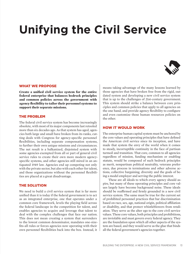# **Unifying the Civil Service**



#### WHAT WE PROPOSE

**Create a unified civil service system for the entire federal enterprise that balances bedrock principles and common policies across the government with agency flexibility to tailor their personnel systems to support their separate missions.**

#### The Problem

The federal civil service system has become increasingly obsolete, with most of its major components last retooled more than six decades ago. As that system has aged, agencies both large and small have broken from its ranks, cutting deals with Congress for agency-specific personnel flexibilities, including separate compensation systems, to further their own unique missions and circumstances. The net result is a balkanized, disjointed system with some agencies exempted from all or part of general civil service rules to create their own more modern agencyspecific systems, and other agencies still mired in an antiquated 1949 law. Agencies end up competing not only with the private sector, but also with each other for talent, and those organizations without the personnel flexibilities are placed at a great disadvantage.

#### The Solution

We need to build a civil service system that is far more unified than it is today if the federal government is to act as an integrated enterprise, one that operates under a common core framework, levels the playing field across the federal landscape in the competition for talent, and enables agencies to acquire and leverage that talent to deal with the complex challenges that face our nation. This does not mean creating a system that surrenders to the lowest common denominator, mandates one-sizefits-all rules or forces agencies now operating with their own personnel flexibilities back into the box. Instead, it

means taking advantage of the many lessons learned by those agencies that have broken free from the rigid, outdated system and developing a new civil service system that is up to the challenges of 21st-century government. This system should strike a balance between core principles and common policies that apply to all agencies on the one hand, and provide agency flexibility to configure and even customize those human resources policies on the other.

#### **HOW IT WOULD WORK**

The enterprise human capital system must be anchored by the core values and operating principles that have defined the American civil service since its inception, and have made that system the envy of the world when it comes to steady, incorruptible continuity in the face of partisan turmoil and transition. That core, common to all agencies regardless of mission, funding mechanism or enabling statute, would be composed of such bedrock principles as merit, nonpartisan political neutrality, veterans preference, due process in terminations and other adverse actions, collective bargaining, diversity and the goals of being a model employer and serving the public interest.

These are all ideals to which every agency should aspire, but many of these operating principles and core values largely have become background noise. These ideals should be reaffirmed and firmly grounded in a new civil service system. The same must be true for the current set of prohibited personnel practices that bar discrimination based on race, sex, age, national origin, political affiliation or disability, and that protect whistleblowers from retaliation. They serve as the alter ego to the core civil service values. These core values, both principles and prohibitions, are inviolable and must govern every federal agency. They are the foundation upon which all other aspects of the system are based, and they would serve as the glue that binds all the federal government's agencies together.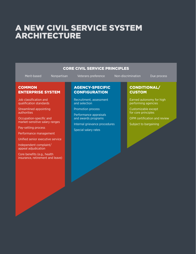### A NEW CIVIL SERVICE SYSTEI ARCHITECTURE

| <b>CORE CIVIL SERVICE PRINCIPLES</b>                                                                       |  |                                                                                                |  |                                                       |  |  |  |
|------------------------------------------------------------------------------------------------------------|--|------------------------------------------------------------------------------------------------|--|-------------------------------------------------------|--|--|--|
| Merit-based<br>Nonpartisan                                                                                 |  | Veterans preference                                                                            |  | Non-discrimination<br>Due process                     |  |  |  |
| <b>COMMON</b><br><b>ENTERPRISE SYSTEM</b>                                                                  |  | <b>AGENCY-SPECIFIC</b><br><b>CONFIGURATION</b>                                                 |  | <b>CONDITIONAL/</b><br><b>CUSTOM</b>                  |  |  |  |
| Job classification and<br>qualification standards                                                          |  | Recruitment, assessment<br>and selection<br><b>Promotion process</b><br>Performance appraisals |  | Earned autonomy for high<br>performing agencies       |  |  |  |
| <b>Streamlined appointing</b><br>authorities                                                               |  |                                                                                                |  | Customizable except<br>for core principles            |  |  |  |
| Occupation-specific and<br>market-sensitive salary ranges<br>Pay-setting process<br>Performance management |  | and awards programs<br>Internal grievance procedures<br>Special salary rates                   |  | OPM certification and review<br>Subject to bargaining |  |  |  |
| Unified senior executive service<br>Independent complaint/<br>appeal adjudication                          |  |                                                                                                |  |                                                       |  |  |  |
| Core benefits (e.g., health<br>insurance, retirement and leave)                                            |  |                                                                                                |  |                                                       |  |  |  |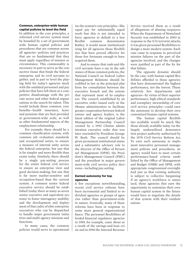#### Common, enterprise-wide human capital policies to level the field

In addition to the core principles, a reformed civil service system must be bounded by a set of governmentwide human capital policies and procedures that are common across all agencies—policies and practices that are so fundamental that they must apply regardless of mission or circumstance. This commonality is necessary in part to serve as the connective tissue that binds the federal enterprise and its civil servants together, and in part to level the playing field for today's agencies stuck with the outdated personnel and pay policies that have left them at a competitive disadvantage with the private sector and other federal organizations in the search for talent. This would include those common, core benefits—health insurance, leave and pensions that are best provided at government-wide scale, as well as other fundamental aspects of the employment relationship.

For example, there should be a common classification system, with common job evaluation standards and occupational series, to ensure a measure of internal unity across the federal enterprise, but one that is far simpler and more flexible than exists today. Similarly, there should be a single pay-setting process for the entire federal civil service to ensure an enterprise view and good decision-making, but one that is far more market-sensitive and occupation-based than the current system. A common senior federal executive service should be established (today there as many as seven senior executive and equivalent systems) to foster interagency mobility and the development and deployment of that cadre of elite enterprise executives who can be dispatched to handle major government initiatives and multi-agency missions and functions.

In many cases, the common policies would serve to operationalize the system's core principles—like equal pay for substantially equal work—but this is not intended to force agencies to default to a less flexible common denominator. Rather, it would mean institutionalizing for all agencies those flexibilities that have proved effective for those few fortunate enough to have acquired them.

And to ensure that rank-and-file civil servants have a say in the substance of those common policies, the National Council on Federal Labor-Management Relations should be codified in law as the principal platform for consultation between the executive branch and the unions that represent most of its employees. The council, established by an executive order issued early in the Obama administration to facilitate greater cooperation between federal unions and agency leaders, is the latest edition of the original Labor-Management Partnership Council created by a 1993 Clinton administration executive order that was later rescinded by President George W. Bush. The council should be given permanent institutional status and a substantive advisory role to the director of the Office of Personnel Management (OPM), the President's Management Council (PMC) and the president in major government-wide civil service policy decisions—including pay-setting.

#### Earned autonomy for top agencies

A few exceptions notwithstanding, recent civil service reforms have been incremental and limited to individual agencies or groups of agencies rather than government-wide in nature. Ironically, many of these reforms have been in response to some more general organizational fiasco. The personnel flexibilities afforded financial regulatory agencies in 1989, for example, came about as a result of the savings-and-loan crisis and in 1998 the Internal Revenue

Service received them as a result of allegations of abusing taxpayers. When the Department of Homeland Security was established in 2003 in response to the 9/11 terrorist attacks, it was given personnel flexibilities to design a more modern system. Each case came in response to perceived mission failures on the part of the agencies involved, and the changes were justified as part of the fix for that failure.

The opposite dynamic should be the case, with human capital flexibilities afforded to those agencies that have demonstrated the highest performance, not the lowest. These relatively few departments and agencies—by virtue of their superior performance, high ethical standards and exemplary stewardship of core civil service principles—could earn the autonomy to develop their own customized human capital systems.

The human capital flexibilities available would be much like those already available today via the largely underutilized demonstration project authority authorized by the 1978 Civil Service Reform Act. To earn such autonomy to implement innovative personnel management policies and procedures, an agency would have to meet certain performance-based criteria established by the Office of Management and Budget (OMB) and OPM, with appropriate congressional oversight. And just as that existing authority is subject to collective bargaining if an agency's workforce is unionized, those agencies that earn the opportunity to customize their own human capital system in the future would have to negotiate the details of that system with their resident unions.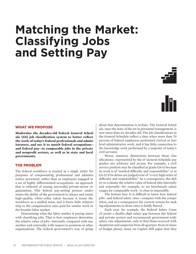## **Matching the Market: Classifying Jobs and Setting Pay**





#### What We Propose

**Modernize the decades-old federal General Schedule (GS) job classification system to better reflect the work of today's federal professionals and administrators, and use it to match federal occupations and federal pay—to comparable jobs in the private and nonprofit sectors, as well as in state and local governments.** 

#### The Problem

The federal workforce is treated as a single entity for purposes of compensating professional and administrative personnel, rather than as employees engaged in a set of highly differentiated occupations—an approach that is unheard of among successful private-sector organizations. This federal pay-setting process undermines the ability of the government to attract and retain high-quality, white-collar talent because it treats the workforce as a unified mass, and it bears little relationship to the compensation rates paid for similar work in the broader labor market.

Determining what the labor market is paying starts with classifying jobs. That is how employers determine the relative value of jobs—internally compared with one another and externally with respect to positions in other organizations. The federal government's way of going about that determination is archaic. The General Schedule, once the state of the art in personnel management, is now more than six decades old. The job classifications in the General Schedule reflect a time when more than 70 percent of federal employees performed clerical or lowlevel administrative work, and it has little connection to the knowledge work performed by a majority of today's civil servants.

Worse, statutory distinctions between those classifications—represented by the 15 General Schedule pay grades—are arbitrary and arcane. For example, a civil service position may be classified at grade GS-11 because its work is of "marked difficulty and responsibility" or at GS-12 if its duties are judged to be of "a very high order of difficulty and responsibility." As a consequence, the ability to evaluate the relative value of federal jobs internally and externally—for example, to set benchmark salary ranges for comparable work—is close to impossible.

The bottom line: It is difficult to know how federal jobs—and federal salary rates—compare with the competition, and as a consequence the current system for making adjustments to those rates is fatally flawed.

Each year, for example, the Federal Salary Council posits a double-digit salary gap between the federal and private sectors and recommends government-wide salary rate adjustments, only to find them received with skepticism and suspicion from all quarters. Even in times of budget plenty, many on Capitol Hill argue that they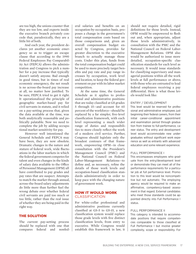are too high, the unions counter that they are too low, and experts inside the executive branch privately concede that, paradoxically, they are a little bit of both.

And each year, the president declares yet another economic emergency so as to trigger an escape clause that according to the 1990 Federal Employees Pay Comparability Act (FEPCA) allows the administration and Congress to pick a number for a pay increase that typically doesn't satisfy anyone. Bad enough in good times, but in times of real economic emergency, the net result is no across-the-board pay increase at all, no matter how justified. To be sure, FEPCA tried to get it right. It operationalized the principle of geographic market-based pay for civil servants in statute, and it relied on a pay-setting process that, given the data available at the time, was both analytically reasonable and politically palatable. Now we need to complete the job by adding occupational market sensitivity for pay.

However well intentioned the General Schedule and FEPCA may have been, they are now obsolete. Dramatic changes in the nature and stature of federal work, wide fluctuations in the labor markets in which the federal government competes for talent and even changes in the kinds of salary data available to the Office of Personnel Management (OPM) all have contributed to pay grades and pay rates that are suspect. Attempts to match the market through annual, across-the-board salary adjustments do little more than further fuel the wrong debate over whether federal civil servants are paid too much or too little, rather than the real issue of whether they are being paid in the right way.

#### The Solution

The current pay-setting process should be replaced with one that compares federal and nonfederal salaries and benefits on an occupation-by-occupation basis, proposes a change in the government's total compensation costs based on those comparisons and, given an overall compensation budget enacted by Congress, provides far greater discretion to the executive branch to actually manage those costs. Under this plan, funds from the total compensation budget could be used to more precisely target benefits and pay rate and pay range increases by occupation, work level and location, to keep the federal government on par with its labor market competition.

At the same time, the General Schedule as it applies to professional and administrative positions that are today classified at GS grades 5 through 15—and account for 65 percent of the workforce—should be replaced by a far simpler, five-level classification framework, with each level representing a much wider range of duties and responsibilities to more closely reflect the work of a modern civil service. Further, Congress should legislate only the broadest contours of that framework, empowering OPM—in close consultation with the President's Management Council (PMC) and the National Council on Federal Labor-Management Relations—to define and, as necessary, refine the details of those work levels and occupation-based classification standards administratively in order to keep pace with the changing nature of government work.

#### **HOW IT WOULD WORK CLASSIFICATION**

For white-collar professional and administrative positions currently classified at GS-5 to GS-15, a new classification system would replace those grade levels with five distinct classification levels, from entry to executive. While Congress would establish this framework in law, it should not require detailed, rigid definitions for those levels. Instead, OPM would be empowered to flesh out and, when appropriate, adjust those levels administratively, in consultation with the PMC and the National Council on Federal Labor-Management Relations. OPM also would be authorized to issue more detailed, occupation-specific classification standards for each level as necessary. It would issue standards for classifying supervisory and managerial positions within all the work levels at full performance or above, with those who are entrusted to lead federal employees receiving a pay differential. Here is what those levels would look like:

#### Entry / Development

This level would be reserved for professional and administrative employees just beginning their federal careers, from their initial career-conditional appointment and examination period through graduation from trainee to full-performance, career status. The entry and development level would accommodate new undergraduates without significant work experience as well as entrants with advanced education and some relevant experience.

#### Full Performance I

This encompasses employees who graduate from the entry/development level or demonstrate they can meet all of the performance requirements for a particular job at full performance level. Promotion to this level would be noncompetitive but not automatic. The employing agency would be required to make an affirmative, competency-based assessment in that regard. External candidates who meet those standards could be appointed directly into Full Performance I status.

#### Full Performance II

This category is intended to accommodate positions that require competencies comparable to those classified at Full Performance I but involve greater complexity, scope or responsibility. For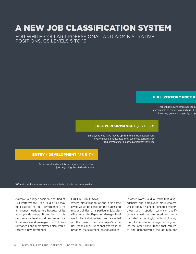### A New Job Classification System

For white-collar professional and administrative positions, GS levels 5 to 15

#### **FULL PERFORMANCE II**

Jobs that require employees to h comparable to those classified as Full P involving greater complexity, scop

#### FULL PERFORMANCE I (GS 11–12)\*

Employees who have moved up from the entry/development level or have demonstrated they can meet performance requirements for a particular journey-level job

#### ENTRY / DEVELOPMENT (GS 5–11)\*

Professional and administrative jobs for employees just beginning their federal careers

\*GS grades are for reference only and may not align with final design or salaries

example, a budget position classified at Full Performance I in a field office may be classified at Full Performance II at an agency headquarters because of its agency-wide scope. Promotion to this performance level would be competitive. Supervisors and managers of Full Performance I and II employees also would receive a pay differential.

#### Expert or Manager

Where classification at the first three levels would be based on the duties and responsibilities of a particular job, classification at the Expert or Manager level would be individualized and awarded on the basis of an employee's superior technical or functional expertise or broader management responsibilitiesin other words, a dual track that gives agencies and employees more choices. Unlike today's General Schedule system, those with superior technical qualifications could be promoted and compensated accordingly, without forcing them to become a manager to progress. On the other hand, those that aspired to and demonstrated the aptitude for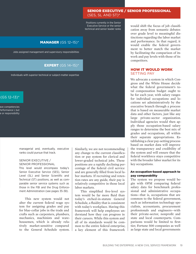Positions currently in the Senior Executive Service or the senior technical and senior leader ranks

#### MANAGER (GS 12–15)\*

Jobs assigned management and supervisory responsibilities

#### EXPERT (GS 14–15)\*

Individuals with superior technical or subject-matter expertise

#### $(GS 12-13)^*$

ave competencies Performance I, but e or responsibility

> managerial and, eventually, executive ranks could pursue that track.

#### Senior Executive / Senior Professional

This level would encompass today's Senior Executive Service (SES), Senior Level (SL) and Senior Scientific and Technical (ST) positions, as well as comparable senior service systems such as those in the FBI and the Drug Enforcement Administration (see pages 35-38).

This new system would not alter the current federal wage system for assigning grades and pay for blue-collar jobs in the trade and crafts such as carpenters, plumbers, mechanics, machinists and warehousemen, which is already relatively market-sensitive compared to the General Schedule system.

Similarly, we are not recommending any change to the current classification or pay system for clerical and lower-graded technical jobs. These positions are a rapidly declining percentage of the federal civil service and are generally filled from local labor markets. If recruiting and retention rates are any guide, their pay is relatively competitive in those local labor markets.

This simplified five-level system would be far more fluid than today's etched-in-statute General Schedule, a fluidity that is consistent with today's workplace. Having this framework will help employees understand how they can progress in their careers. While this system and all of its standards would be common to the entire federal enterprise, a key element of this framework

would shift the focus of job classification away from semantic debates over grade level to meaningful distinctions regarding the labor market and performance. In that regard, it would enable the federal government to better match the market by facilitating the comparison of its work and pay levels with those of its competitors.

#### **HOW IT WOULD WORK** Setting Pay

We advocate a system in which Congress and the White House decide what the federal government's total compensation budget ought to be for each year, with salary ranges for individual occupations and locations set administratively by the executive branch through a process that is based on measurable market data and other factors, just like any large private-sector organization. Individual agencies would then apply those occupation-based salary ranges to determine the best mix of grades and occupations, all within their separate appropriations. Establishing a clear pay-setting process based on market data will improve the transparency and credibility of the system and will ensure that the federal workforce stays competitive with the broader labor market for its key occupations.

#### An occupation-based approach to pay comparability

The system we propose would begin with OPM comparing federal salary data for benchmark professional and administrative occupations—that is, occupations that are common to the federal government, such as information technology specialists, accountants, procurement professionals and engineers—with their private-sector, nonprofit and state and local counterparts. Comparisons would be limited to firsttier, Fortune 500 companies as well as large state and local governments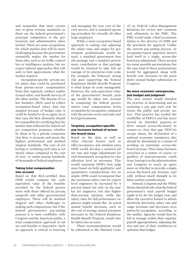and nonprofits that meet certain size or gross revenue standards, as those are the federal government's principal competitors in the professional and administrative labor market. There are some occupations for which market data will be more challenging because the government essentially makes the market for those jobs, such as air traffic controllers or intelligence analysts, but we expect tailored approaches that will seek to best approximate what the market requires.

Occupation-specific private-sector salary data could be purchased from private-sector compensation firms that regularly conduct sophisticated salary and benefit surveys of the labor market. The Bureau of Labor Statistics (BLS) used to collect occupation-based salary data but stopped because of budget cuts; it could be funded to do so again. In either case, the BLS ultimately should be responsible for certifying that the market data collected for federal salary comparison purposes, whether by them or by a private compensation firm, is accurate and meets the highest professional and methodological standards. The cost of collecting or certifying such data is relatively minor compared to the cost of over- or under-paying hundreds of thousands of federal employees.

#### Taking total compensation into account

Based on that BLS-certified data, OPM would compare the cashequivalent value of the benefits provided by the federal government with those offered by private, nonprofit and other governmental employers. There will be methodological and other challenges to making such comparisons, but if the federal government's pay-setting process is to have credibility with Congress and the American public, a total compensation approach to salary and benefits is imperative. Such an approach is critical to knowing

and managing the true cost of the civil service, and is standard operating procedure for virtually all other large employers.

While a more occupation-based approach to setting and adjusting the salary rates and ranges for government professionals would be used, a standard government benefit package and a standard government contribution to that package would be retained to take full advantage of its enterprise-wide scale. For example, the balanced, strong risk pool supporting the Federal Employees Health Benefit Program is what keeps its costs manageable. However, the cash-equivalent value of the government's benefit package would be taken into account in comparing the federal government's total compensation levels, occupation-by-occupation compared with the private sector and state and local governments.

#### Targeted, occupation-specific pay increases instead of acrossthe-board raises

Based on the data, as well as other relevant factors such as offer/acceptance and attrition rates, OPM would develop a notional salary rate and range adjustments for each benchmark occupation by classification level as necessary. This would represent OPM's best judgment based on both qualitative and quantitative considerations. For example, OPM could recommend that the maximum salary rate for expertlevel engineers be increased by 4 percent based not only on the market for engineers, but also higherthan-normal attrition, while the salary rates for full performance engineers might remain flat. As noted, annual benefit increases, such as the cost of average annual premium increases to the Federal Employee Health Benefit Program, would also be taken into account.

These recommendations would be submitted to the National Council on Federal Labor-Management Relations for review and comment and, ultimately, to the PMC. The PMC would make a final recommendation to the director of OMB and the president for approval. Unlike the current pay-setting process, an occupation-based approach doesn't lend itself to a single, across-theboard pay adjustment. There are just too many possible permutations, but the sum total of those permutations would be aggregated along with benefit cost increases in the president's annual budget submission to Congress.

#### No more economic emergencies, just budget and judgment

The new system would abandon the practice of determining and announcing a pay gap each year between the public and private sectors. That practice has eroded the credibility of FEPCA and has never served its intended purpose—to drive annual across-the-board increases to close that gap. FEPCA's escape clause, the declaration of a national economic emergency, also should be abandoned as a means of avoiding an automatic across-theboard increase. That clause has been exercised as a matter of course regardless of macroeconomic conditions, leaving it to the administration and Congress to reach an agreement on whether to provide a single, across-the-board pay increase, typically without much thought to its labor market considerations.

Instead, Congress and the White House should decide what the federal government's total payroll budget ought to be for the budget year, and allow the executive branch to administratively determine salary rate and range increases and decreases occupation-by-occupation, according to the market. Agencies would then be left to manage within their separate payroll appropriations, adjusting the size and mix of their workforces to optimize that budget.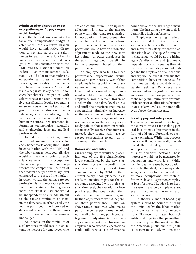#### Administrative discretion to set occupation-specific pay ranges within budget

Once the federal government's total annual compensation budget is established, the executive branch would have administrative discretion to set and adjust the salary ranges for each of the various benchmark occupations within that budget. OMB—in consultation with the PMC and the National Council on Federal Labor-Management Relations—would allocate that budget by occupation and classification level, factoring in locality adjustments and benefit increases. OMB could issue a separate salary schedule for each benchmark occupation, with salary ranges for each occupation's five classification levels. Depending on an analysis of the market, it could group those occupations with separate salary schedules into larger job families such as budget and finance, human resources, procurement, information technologists, scientific and engineering jobs and medical professionals.

In addition to setting minimum and maximum salaries for each benchmark occupation, OMB in consultation with the PMC and the labor-management council, also would set the market point for each salary range within an occupation. The market point or midpoint represents the competitive position of that federal occupation's salary level compared to the rest of the market in other words, the going rate for professionals in comparable privatesector and state and local government jobs. That adjustment would be independent of any adjustment to the range's minimum or maximum salary rate. In other words, the market point could be increased or decreased even while those minimum and maximum rates remain unchanged.

An increase in the minimum of a salary range would result in an automatic increase for employees who

are at that minimum. If an upward adjustment is made to the market point within the range for a particular occupation, all employees who are at that market point and whose performance meets or exceeds expectations, would have an automatic adjustment made to the new market point. All other employees in the salary range would be eligible for an adjustment based on their performance.

An employee who fails to meet performance expectations would receive no pay increase. Even if that employee is being paid at the salary range's minimum amount and that lower limit is increased, a pay adjustment would not be granted. Rather, employees would remain frozen at a below-the-line salary level unless and until their performance meets expectations. Similarly, an increase in the maximum amount of an occupation's salary range would not necessarily mean that employees already paid at that maximum would automatically receive that increase. Instead, they would still have to exceed expectations to earn an increase up to that new limit.

#### Conversion and entry

Current employees would be placed into one of the five classification levels established by the new classification system according to occupation-specific job evaluation standards issued by OPM. If their current salary upon placement exceeds the maximum pay for the salary range associated with their classification level, they would not lose pay. Instead, they would retain their salary at the time of conversion, and further adjustments would depend on their performance. Thus, an above-range employee who meets performance expectations would not be eligible for any pay increases triggered by adjustments to that salary range's market rate. However, an employee who exceeds expectations could still receive a performance

bonus above the salary range's maximum. The last thing we want to do is demoralize high performers.

Employees entering federal service would have their pay set somewhere between the minimum and maximum salary for their classification level. The specific amount in that range would be at the hiring agency's discretion and judgment, depending on such issues as the criticality of its need, its personnel budget and the employee's qualifications and experience, even if it means that competition between agencies for the same candidate could drive up starting salaries. Entry-level employees without significant experience would have their pay set closer to the range minimum, with entrants with superior qualifications brought in at a salary level at, or potentially even above, the market rate.

#### Locality pay and salary caps

The new system would not change the current process for making general locality pay adjustments in the form of add-on differentials to each salary schedule. While that process has some flaws, it generally has allowed the federal government to keep pace with increases in the cost of labor in various locations. Those increases would not be measured by occupation and work level. While locality pay increases by occupation would be the ideal, location-specific salary schedules for each of a dozen or more occupations—for each of five work levels—is just too complex, at least for now. The idea is to keep the system relatively simple to start, even if it comes at the expense of some precision.

In theory, a market-based pay system should be bounded only by the limits set by the labor market for a particular family of occupations. However, no matter how scientific and objective that pay-setting process may be, the reality is that the American public and our political system most likely will insist on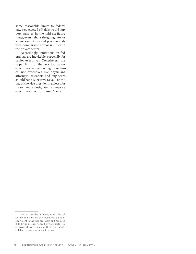some reasonable limits to federal pay. Few elected officials would support salaries in the mid-six-figure range, even if that's the going rate for senior executives and professionals with comparable responsibilities in the private sector.

Accordingly, limitations on federal pay are inevitable, especially for senior executives. Nonetheless, the upper limit for the very top career executives, as well as highly technical non-executives like physicians, attorneys, scientists and engineers, should be to Executive Level I or the pay of the vice president—at least for those newly designated enterprise executives in our proposed Tier 4.<sup>2</sup>

<sup>2</sup> The IRS has the authority to set the salary of certain critical pay executives at a level equivalent to the vice president and has used it to bring in experienced private-sector executives. However, most of these individuals still had to take a significant pay cut.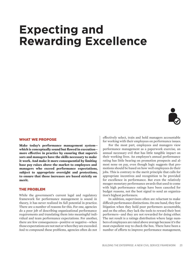# **Expecting and Rewarding Excellence**



#### What We Propose

**Make today's performance management system which is conceptually sound but flawed in execution more effective in practice by ensuring that supervisors and managers have the skills necessary to make it work. And make it more consequential by limiting base pay raises above the market to employees and managers who exceed performance expectations, subject to appropriate oversight and protections, to ensure that those increases are based strictly on merit.**

#### The Problem

While the government's current legal and regulatory framework for performance management is sound in theory, it has never realized its full potential in practice. There are a number of reasons for this. For one, agencies do a poor job of describing organizational performance requirements and translating them into meaningful individual and team performance expectations. For another, there are few consequences—positive or negative—when those expectations are not met or when they are exceeded. And to compound these problems, agencies often do not

effectively select, train and hold managers accountable for working with their employees on performance issues.

For the most part, employees and managers view performance management as a paperwork exercise, an annual necessary evil that has little tangible impact on their working lives. An employee's annual performance rating has little bearing on promotion prospects and almost none on pay, even though logic suggests that promotions should be based on how well employees do their jobs. This is contrary to the merit principle that calls for appropriate incentives and recognition to be provided for excellence in performance. But even the relatively meager monetary performance awards that used to come with high performance ratings have been canceled for budget reasons, not the best signal to send an organization's highest performers.

In addition, supervisors often are reluctant to make difficult performance distinctions. On one hand, they fear litigation when they hold poor performers accountable, and on the other, they lack the tools to reward their best performers—and they are not rewarded for doing either. The net result is a ratings distribution where large numbers of employees are rated above average because it's the most expedient way to check the box. There have been a number of efforts to improve performance management,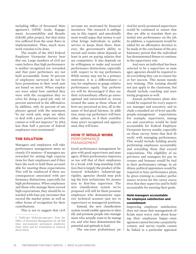including Office of Personnel Management's (OPM) Goals, Engagement, Accountability and Results (GEAR) pilot project, but that initiative suffered from the same flaws in implementation. Thus, much more work remains to be done.

The results of the 2013 Federal Employee Viewpoint Survey bear this out. Large numbers of civil servants believe that high performance is neither recognized nor rewarded, and that poor performers are not held accountable. Some 70 percent of employees surveyed do not believe promotions in their work unit are based on merit. When employees were asked how satisfied they were with the recognition they receive for doing a good job, only 43 percent answered in the affirmative. In addition, only 26 percent of employees agreed with the statement, "In my work unit, steps are taken to deal with a poor performer who cannot or will not improve." In 2013, less than half a percent of federal employees were terminated.<sup>3</sup>

#### The Solution

Managers and employees will take performance management more seriously if it matters—if managers are rewarded for setting high expectations for their employees and if they have the tools to hold them accountable for meeting those expectations. This will be reinforced if there are consequences associated with performance distinctions, especially for high performance. When employees and those who manage them exceed high expectations, they should be rewarded with base pay increases that exceed the market point, as well as other forms of recognition for their contributions.

This is not to suggest that civil

servants are motivated by financial incentives. The research is ambiguous in this regard, and anecdotally most would argue that money is not what brings individuals to public service or keeps them there. However, the government's ability to recruit and retain talent depends at least in part on paying salaries that are competitive. It also depends on its willingness to make and reward performance distinctions, especially with respect to its top performers. While money may not be a primary motivator, it is a differentiator—a way for employees to gauge relative performance equity. Top performers will be discouraged if they see their extraordinary efforts go unrecognized and unrewarded or, worse, treated the same as those whose efforts are perceived as less, all in the name of feel-good fairness. In addition, many top performers will have other options, so if their contributions aren't recognized and appreciated, they will leave.

#### **HOW IT WOULD WORK PERFORMANCE** Management

Good performance management begins with good supervisors and managers. If their performance improves, so too will that of their employees. In a break with long-standing tradition that is largely the product of the General Schedule's industrial-age rigidity, agencies should stop picking the best technicians for promotion to first-line supervisor. The new classification system we've proposed will still let them promote employees who demonstrate superior technical acumen—just not to supervisory or managerial positions.

Instead, the new classification system would enable agencies to identify and promote people into management who actually want to be managers, and who have demonstrated the potential and aptitude to lead.

The one-year probationary pe-

riod for newly promoted supervisors would be continued to ensure that they are able to translate their potential into performance on the job. In addition, a requirement would be added for an affirmative decision to be made at the conclusion of the probationary period that the individual has demonstrated fitness to continue in the supervisory role.

And once an individual has been selected to be a supervisor or manager, agencies should be required to do everything they can to ensure his or her success. This means mandatory training. This training should not just apply to the classroom, but should include coaching and mentoring programs as well.

Annual performance plans also would be required for every supervisor, manager and executive, and include a standard set of level-specific people-management expectations. For example, supervisors, managers and executives would be held accountable for Federal Employee Viewpoint Survey results, especially on those survey items that deal directly with managing performance. This would include holding poorly performing employees accountable and rewarding those that exceed expectations. The eligibility of supervisors and managers for pay increases and bonuses would be tied to their performance ratings. In addition, political appointees would be required to have performance plans, be given training to conduct performance reviews for the career executives that they supervise and be held accountable for meeting their goals.

#### Hold managers accountable for employee satisfaction and commitment

Improving employee satisfaction does not mean that management officials must worry only about keeping their employees happy—management cannot become a popularity contest, and survey results cannot be linked to a particular appraisal

<sup>3</sup> FedScope (fedscope.opm.gov) from the Office of Personnel Management for all fulltime, non-seasonal, permanent employees (Sept. 2013) and for termination or removal (fiscal 2013).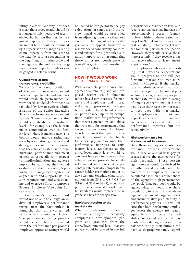rating in a formulaic way. Nor does it mean that survey results should be a manager's only measure of merit obviously, bottom-line results are just as important. However, it does mean that both should be examined by a supervisor or manager's rating chain—especially from one year to the next—by setting expectations at the beginning of a rating cycle and then again at the end, so that progress on these important indices can be gauged in relative terms.

#### Oversight to assure transparency, credibility

To ensure the overall credibility of the performance management process, departments and agencies would establish performance review boards modeled after those established by law to oversee administration of the Senior Executive Service performance management system. These review boards also would be established at subordinate levels—for example, at the bureau, major command or even the facility level where it makes sense. The boards would analyze rating patterns by occupation, grade level and demographics in order to assure that they are consistent with organizational performance and merit principles, especially with respect to nondiscrimination and adverse impact. In addition, they would evaluate whether the agency's performance management system is aligned with and supports its mission requirements, and also examine and oversee efforts to improve Federal Employee Viewpoint Survey results.

An agency's review board would not be able to change an individual employee's performance rating after the fact unless it found that that rating was tainted in some way by nonmerit factors. The performance rating process would be completely firewalled from the performance pay process. Employee appraisal ratings would

be locked before performance pay calculations are made, and the review board would be precluded from adjusting them once finalized except in the case of a successful grievance or appeal. However, a review board conceivably could remand ratings for a particular subunit or supervisor on grounds that those ratings are inconsistent with overall organizational results or merit principles.

#### How it would work Performance Pay

With a credible performance management system in place, our proposed system would eliminate tenure-based pay increases for managers and employees, and instead make pay progression within a particular salary band based strictly on performance—up to an occupation's market rate for performance that meets expectations, and above that rate only for performance that exceeds expectations. Employees who fail to meet their performance expectations would not be eligible for a base pay increase until their performance improves to satisfactory levels. Employees at the entry/development level would receive set base pay increases as they achieve certain pre-established developmental milestones, at a percentage rate basically comparable to career ladder promotions under today's General Schedule (that is, promotions from GS-5 to GS-7, GS-7 to GS-9, and GS-9 to GS-11), except that performance against developmental standards would replace time in grade as a basis for progression.

#### Rapid progression to the market rate

When a professional or administrative employee successfully completes a developmental program and graduates from the entry/developmental level, that employee would be placed in the full

performance classification level and receive annual base pay increases of approximately 3 percent (comparable to within-grade increases from Step 1 to Step 4 under today's General Schedule), up to the market rate set for their particular occupation. However, they would receive those increases only if they receive a performance rating of at least "meets expectations."

Employees who receive a rating that exceeds expectations would progress to the full performance market rate even more quickly. Moreover, if the market rate is administratively adjusted upwards as part of the annual paysetting process, all employees paid at that rate who receive a rating of "meets expectations" or better would see their base pay increased to keep pace with that market rate. Employees who do not meet expectations would not receive an increase unless and until their performance improves, but not retroactively.

#### High performance for above-market increases

Only those employees whose performance exceeds expectations would receive annual base pay increases above the market rate for their occupation. Those percentage increases would be derived by a mathematical formula, with the amount of an employee's increase calculated based on his or her share of the agency's high-performance pay pool. That pay pool would be agency-wide, as would the share calculation, in order to take advantage of the law of large numbers and ensure relative predictability in performance payouts. This will ensure that high-performing employees across the agency are treated equitably and mitigate the variability associated with small pay pools where demographics and imbalanced ratings distributions can have a disproportionately signifi-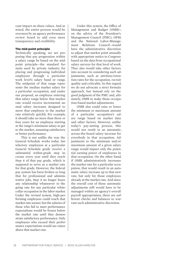cant impact on share values. And as noted, the entire process would be overseen by an agency performance review board to add even more transparency and credibility.

#### The mid-point principle

Technically speaking, we are proposing that pay progression within a salary range be based on the midpoint principle—the standard formula used by private industry for placing and progressing individual employees through a particular work level's salary band or range. The midpoint of that range represents the median market salary for a particular occupation, and under our proposal, an employee entering that salary range below that market rate would receive incremental annual salary increases designed to move that employee to the market rate relatively quickly. For example, it should take no more than three or four years for an employee starting at the range's minimum salary to get to the market, assuming satisfactory or better performance.

This is not unlike the way the General Schedule works today. Satisfactory employees at a particular General Schedule grade receive a substantial within-grade step increase every year until they reach Step 4 of that pay grade, which is supposed to serve as a market rate for that grade. However, the federal pay system has been broken so long that for professional and administrative jobs, Step 4 no longer bears any relationship whatsoever to the going rate for any particular whitecollar occupation in the labor market. Under the revised system, high-performing employees could reach that market rate sooner, but the salaries of those who fail to meet performance expectations would be frozen below the market rate until they demonstrate satisfactory performance. Only employees who exceed their performance expectations would see raises above that market rate.

Under this system, the Office of Management and Budget (OMB) on the advice of the President's Management Council (PMC), OPM, and the National Labor-Management Relations Council—would have the administrative discretion to adjust that market point annually with appropriate notice to Congress based on the data from occupational salary surveys for that level of work. They also would take other factors into account in considering such adjustments, such as attrition/retention rates for the occupation, recruit quality and criticality. In this regard, we do not advocate a strict formula approach, but instead rely on the good judgment of the PMC and, ultimately, OMB to make those occupation-based market adjustments.

OMB also could raise or lower the minimum or maximum amount of a particular occupation's salary range based on market data and other factors. However, unlike today's pay-setting process, this would not result in an automatic, across-the-board salary increase for everybody in that occupation. Adjustments to the minimum and/or maximum amount of a given salary range would impact only the potential earning power of employees in that occupation. On the other hand, if OMB administratively increases the market rate for a particular occupation, that would result in an automatic salary increase up to that new rate, but only for those employees already at the market rate. And since the overall cost of those automatic adjustments still would have to be managed within an agency's overall payroll appropriation, there are sufficient checks and balances to warrant such administrative discretion.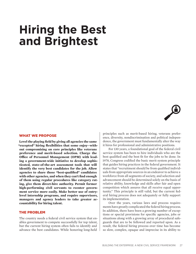# **Hiring the Best and Brightest**



#### What We Propose

**Level the playing field by giving all agencies the same "excepted" hiring flexibilities that some enjoy—without compromising on core principles like veterans preference and merit-based selection. Charge the Office of Personnel Management (OPM) with leading a government-wide initiative to develop sophisticated, state-of-the-art assessment tools that will identify the very best candidates for the job. Allow agencies to share those "best-qualified" candidates with other agencies, and when they can't find enough of them using regular procedures like category rating, give them direct-hire authority. Permit former high-performing civil servants to reenter government service more easily. Make better use of entrylevel internship programs, and require supervisors, managers and agency leaders to take greater accountability for hiring talent.**

#### The Problem

The country needs a federal civil service system that enables government to compete successfully for top talent, but the current hiring system often fails to identify and advance the best candidates. While honoring long-held

principles such as merit-based hiring, veterans preference, diversity, nondiscrimination and political independence, the government must fundamentally alter the way it hires for professional and administrative positions.

For 130 years, a foundational goal of the federal civil service system has been to hire individuals who are the best qualified and the best fit for the jobs to be done. In 1978, Congress codified the basic merit system principle that guides hiring practices in the federal government. It states that "recruitment should be from qualified individuals from appropriate sources in an endeavor to achieve a workforce from all segments of society, and selection and advancement should be determined solely on the basis of relative ability, knowledge and skills after fair and open competition which assures that all receive equal opportunity." This principle is still valid, but the current federal hiring process does not adequately or fully support its implementation.

Over the years, various laws and process requirements have greatly complicated the federal hiring process. In addition, there have been a growing number of exceptions or special provisions for specific agencies, jobs or situations along with a growing array of procedural safeguards that are to be followed and reported upon. As a result, the federal hiring process over time has become so slow, complex, opaque and imprecise in its ability to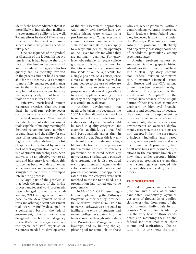identify the best candidates that it is more likely to impede than facilitate the government's ability to hire well. Recent efforts by the OPM to reduce time to hire have met with some success, but more progress needs to take place.

One consequence of the gradual ossification of the federal hiring system is that it has become the province of the human resources staff and not federal managers, who frequently are insufficiently involved in the process and not held accountable for the outcomes. Past attempts to more fully engage federal managers in the hiring process have had very limited success, in part because managers typically do not have the tools or the resources needed.

Effective, merit-based human resources practices that are standard in well-run private-sector companies are often not available to federal managers. This would include the use of valid assessment tools capable of making meaningful distinctions among large numbers of candidates, and the ability for one part of an organization to select a highly qualified candidate from a list of applicants developed by another part of that organization. While the use of student internships has been shown to be an effective way to assess and hire entry-level talent, this source has become underutilized as some agencies and managers have struggled to cope with a revamped intern hiring process.

A large part of the problem is that both the nature of the hiring process and federal workforce needs have changed dramatically, challenging OPM and agencies to keep pace. While development of valid tests and other applicant assessment tools were originally developed on a centralized basis in the federal government, that authority was delegated to each individual agency in the 1990s. Yet few agencies have the specialized staff expertise or resources needed to develop state-

of-the-art assessment approaches. Additionally, civil service laws governing hiring were written in a pre-Internet era. Today electronic communications have made it possible for individuals to easily apply to a large number of job openings online— even for jobs for which they are minimally qualified. For entrylevel jobs suitable for recent college graduates, it is not uncommon for there to be hundreds and sometimes thousands of online applicants for a single position. As a consequence, almost all agencies have resorted to some degree to the use of software tools that use experience and/or proprietary code-word algorithms to screen applicants, opting for efficiency at the expense of more precise candidate evaluation.

Another development that needs to be taken into account is the 2002 law that allowed the use of alternative ranking and selection procedures so that job applicants could be rated in quality categories (for example, qualified, well-qualified, and best-qualified) rather than in numerical order. Under this law, any applicant in the top category is eligible for selection, with the provision that veterans entitled to veterans preference be selected before any nonveterans. This law was a positive development, but it also required each department and agency to develop a robust and valid assessment process that ensured that applicants rated in the top category were well matched to the job to be filled. This presumption has turned out to be problematic.

In May 2012, OPM issued regulations implementing the Pathways Programs authorized by presidential Executive Order 13562. True to its name, Pathways was designed to facilitate the entry of students and recent college graduates into the federal service through internships and Presidential Management Fellowships, and by limiting the applicant pool for some jobs to those

who are recent graduates, without compromising veterans preference. Early feedback from federal agencies, however, is that hiring under the Pathways Program still hasn't solved the problem of effectively and objectively assessing thousands of candidates, particularly among recent graduates.

Another problem centers on some agencies having special hiring advantages that others do not have. The Nuclear Regulatory Commission, Federal Aviation Administration, Consumer Financial Protection Bureau and the CIA, among others, have been granted the right to develop hiring procedures that are different or "excepted" from the normal rules because of the unique nature of their jobs, such as nuclear engineers or high-level financial analysts and economists, or because their conditions of employment require extreme security clearance requirements, dangerous working environments or overseas deployments. However, these positions are not "excepted" from the core merit principals, including merit-based hiring, veterans preference and nondiscrimination. Approximately half of all new hires into permanent positions in the executive branch are now made under excepted hiring procedures, creating a system that gives some agencies needed hiring flexibilities while denying it to others.

#### The Solution

The federal government's hiring problem isn't a lack of talented candidates. Collectively, agencies get tens of thousands of applications every day from some of the most talented individuals in our country. The problem is identifying the very best of those candidates and matching them to the federal job that maximize their talents and aspirations. The solution is not to change the merit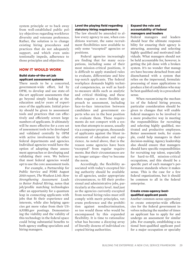system principle or to back away from well-established public policy objectives regarding workforce diversity and veterans preference. Rather, the solution is to change existing hiring procedures and practices that do not adequately support, and which even unintentionally impede, adherence to those principles and objectives.

#### HOW IT WOULD WORK

#### Build state-of-the-art job applicant assessment systems

There needs to be a concerted, government-wide effort, led by OPM, to develop and use state-ofthe-art applicant assessments that go beyond simply looking at the education and/or years of experience of the applicants. Initial priority should be given to assessment tools and practices that can effectively and efficiently screen large numbers of applicants. It ultimately will be more effective for a core set of assessment tools to be developed and validated centrally by OPM with active involvement by other federal departments and agencies. Individual agencies would have the option of adopting these assessment approaches or developing and validating their own. We believe that most federal agencies would opt to use the core assessment tools.

For example, a Partnership for Public Service and PDRI August 2010 report, *The Weakest Link: How Strengthening Assessment Leads to Better Federal Hiring*, notes that job/profile matching technologies offer an opportunity for a quantum leap in connecting applicants with jobs that fit their experience and interests, while also helping agencies get more value from their US-AJOBS.gov postings. Demonstrating the viability and the validity of this technology in the federal space could bring substantial benefits to both agency staffing specialists and hiring managers.

#### Level the playing field regarding statutory hiring requirements

The law should be amended to allow every agency to use, when conditions warrant, the same recruitment flexibilities now available to only some "excepted" agencies or positions.

Federal agencies increasingly are finding that for many occupations, including some of their most mission-critical positions, it is difficult to apply standard rules to evaluate, differentiate and hire top-notch applicants. The federal workplace demands highly technical competencies, as well as hardto-measure skills such as analytic and critical thinking, and these often require a more flexible approach to assessment, including face-to-face interaction between candidates and government experts who are in the best position to evaluate them. These requirements do not comport with a system that attempts to assess, usually via a computer program, thousands of applicants against the blunt instrument of education and experience. As noted above, that is the reason some agencies have been "excepted" from regular requirements. But their circumstances are no longer unique—they've become the norm.

Accordingly, the flexibility associated with today's excepted hiring authority should be available to all agencies, under appropriate circumstances, to fill their professional and administrative jobs, particularly at the entry level. And just as the agencies currently excepted from normal hiring rules must still comply with merit principles, veterans preference and the prohibition against nondiscrimination, so too would those who would be encompassed by this expanded flexibility. It is time to rationalize what has become a dizzying array of literally dozens of individual excepted hiring authorities.

#### Expand the role and accountability of federal managers and leaders

Federal managers and leaders should bear the ultimate responsibility for ensuring their agency is attracting, assessing and selecting highly qualified and motivated individuals. What managers should not be held accountable for, however, is getting the job done with a broken system. It's no wonder that managers have become detached from and disenchanted with a system that relies on the impersonal, formulaic processing of mass applications to produce a list of candidates who may be best qualified only in a procedural sense.

When reexamining the mechanics of the federal hiring process, particular consideration should be given to changes that will enable federal managers to be involved in a more productive way in meeting the responsibilities for recruiting and selecting highly qualified, motivated and productive employees. Better assessment tools, for example, could help managers in their decision-making. Agency leadership also should ensure that managers should have specific responsibilities for recruiting top talent, especially for hard-to-fill, mission-critical occupations, and this should be a specific part of each manager's performance standards where it makes sense. This is the case for a few federal organizations, but it should be common to all in the federal enterprise.

#### Create cross-agency bestqualified applicant pools

Another common-sense opportunity to create enterprise-wide efficiencies for the federal government involves reducing the number of times an applicant has to apply for and undergo an assessment for similar jobs. For example, establishing a national best-qualified applicant pool for a major occupation or specialty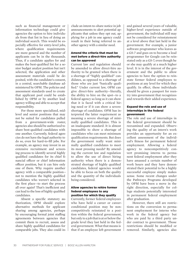such as financial management or information technology could give agencies the option to hire individuals from that list in lieu of doing an individual search. This would be especially effective for entry-level jobs, where qualification requirements are more general and the number of applicants can be in the thousands. Thus, if a candidate applies for and makes the best-qualified list for a senior budget analyst position but isn't selected, the application and other assessment materials could be deposited, with the candidate's consent, in a central, searchable database administered by OPM. The policies and assessment standards used to create that applicant pool could be established by OPM or by another lead agency willing and able to accept that responsibility.

For those more specialized, midlevel and senior positions that may not be suited for candidates pulled from a government-wide roster, agencies also should be authorized to share best-qualified candidates with one another. Currently, federal agencies do not have the legal authority to do so, even for hard-to-fill jobs. For example, an agency may invest in an extensive recruitment and screening process to identify several highly qualified candidates for its chief financial officer or chief information officer position, but it can hire only one of them. Why require another agency with a comparable position not to mention the highly qualified candidates who weren't selected in the first place—to start the process all over again? That's inefficient and can lead to the loss of highly qualified candidates.

Absent a specific statutory authorization, OPM should explore alternative methods for applicant sharing among agencies, perhaps by encouraging formal joint staffing agreements between agencies that commit them to recruit, assess and share highly qualified candidates for comparable jobs. They also could include an intent-to-share notice in job announcements to alert potential applicants that unless they opt out, applying for a job in one agency could result in their being referred to another agency with a similar need.

#### Amend the criteria that must be met before a direct-hire authority can be approved

Current law and regulation should be amended to allow direct-hire authority to be granted when there is a shortage of "highly qualified" candidates, as opposed to a shortage of those who are just "basically qualified." Under current law, OPM can give direct-hire authority—literally, the ability to hire on the spot—to a federal agency so long as it can show that it is faced with a critical hiring need or if it can show a severe shortage of candidates. OPM has interpreted the latter requirement as meaning a severe shortage of minimally qualified candidates. This is an inadequate standard: It is almost impossible to show a shortage of candidates who can meet minimum qualification requirements. But does the government really want minimally qualified candidates to meet its most pressing needs? By amending the current law and regulation to allow the use of direct hiring authority when there is a demonstrated shortage of highly qualified candidates, federal agencies would be able to focus on both the quality and the quantity of the individuals being considered.

#### Allow agencies to rehire former federal employees to any position for which they qualify

Currently, former federal employees who have held a career or careerconditional position may be noncompetitively reinstated to a position within the federal government, but only to a job that is at or below the grade level they last held in the federal government. What that means is that if an employee left government

and gained several years of valuable, higher-level experience outside of government, the individual still may not be considered for reinstatement at a level above that last held in the government. For example, a junior software programmer who leaves as a GS-7 and goes on to become a lead programmer for Google can be reinstated only as a GS-7, even though he or she may qualify at a much higher level. It is in the interest of the government and the public to allow agencies to have the option to reinstate former federal employees to positions at any level for which they qualify. In effect, these individuals should be given a passport for reentry into government that recognizes and rewards their added experience.

#### Expand the role and use of internships in the federal government

The role and use of internships in the federal government should be reexamined and expanded. Observing the quality of an intern's work provides an opportunity for an excellent assessment of the individual's fitness for permanent federal employment. Allowing a federal agency to noncompetitively convert promising interns to permanent federal employment after they have amassed a certain number of work hours and they have demonstrated their potential to be a highly successful employee simply makes sense. Some recent changes under the Pathways Programs developed by OPM have been a move in the right direction, especially for college students potentially interested in permanent federal employment after graduation.

However, there still are restrictions on the conversion to permanent employment for interns who work in the federal agency but who are paid by a third party under contract to government. Those restrictions should be modified or removed. Similarly, agencies also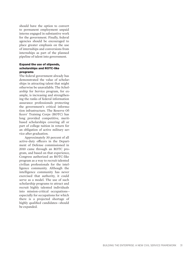should have the option to convert to permanent employment unpaid interns engaged in substantive work for the government. Finally, federal agencies should be encouraged to place greater emphasis on the use of internships and conversions from internships as part of the planned pipeline of talent into government.

#### Expand the use of stipends, scholarships and ROTC-like programs

The federal government already has demonstrated the value of scholarships in attracting talent that might otherwise be unavailable. The Scholarship for Service program, for example, is increasing and strengthening the ranks of federal information assurance professionals protecting the government's critical information infrastructure. The Reserve Officers' Training Corps (ROTC) has long provided competitive, meritbased scholarships covering all or part of college tuition in return for an obligation of active military service after graduation.

Approximately 30 percent of all active-duty officers in the Department of Defense commissioned in 2010 came through an ROTC program, and based on that experience, Congress authorized an ROTC-like program as a way to recruit talented civilian professionals for the intelligence community. Although the intelligence community has never exercised that authority, it could serve as a model. The use of such scholarship programs to attract and recruit highly talented individuals into mission-critical occupations especially for occupations for which there is a projected shortage of highly qualified candidates—should be expanded.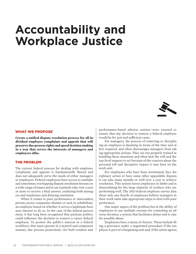# **Accountability and Workplace Justice**



#### What We Propose

**Create a unified dispute resolution process for all individual employee complaints and appeals that will preserve due process rights and speed decision-making in a way that serves the interests of managers and employees alike.** 

#### The Problem

The current federal process for dealing with employee complaints and appeals is fundamentally flawed and does not adequately serve the needs of either managers or employees. Federal employees have access to multiple and sometimes overlapping dispute resolution forums on a wide range of issues and it can routinely take over a year or more to receive a final answer, confusing both managers and employees and delaying resolution.

When it comes to poor performance or misconduct, private-sector companies dismiss or seek to rehabilitate an employee based on whether it serves a legitimate business interest to do so. In the case of the federal government, it has long been recognized that partisan politics could influence the decision to remove a career federal employee. To protect the public's interest in a federal workforce that must operate in a neutral and competent manner, due process protections—for both conduct and

performance-based adverse actions—were enacted to ensure that any decision to remove a federal employee would be for just and sufficient cause.

For managers, the process of removing or disciplining an employee is daunting in terms of the time and effort required, and often discourages managers from taking appropriate actions. They are not properly trained in handling these situations and often lack the will and the top-level support to act because of the concern about the personal toll and disruptive impact it may have on the work unit.

For employees who have been terminated, face disciplinary action or have some other appealable dispute, it can take many months or well over a year to achieve resolution. This system leaves employees in limbo and is demoralizing for the large majority of workers who are performing well. The 2013 federal employee survey data show only one-fourth of employees believe managers in their work units take appropriate steps to deal with poor performers.

One major aspect of the problem lies in the ability of employees to use multiple avenues for contesting an adverse decision, a system that facilitates delays and is ripe for possible abuse.

Employees have a menu of choices. These include filing a grievance under a negotiated procedure if the employee is part of a bargaining unit and, if the union agrees,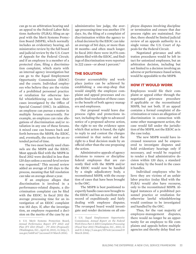can go to an arbitration hearing and an appeal to the Federal Labor Relations Authority (FLRA); filing an appeal with the Merit Systems Protection Board (MSPB), which normally includes an evidentiary hearing, administrative review by the full board and judicial review by the U.S. Court of Appeals for the Federal Circuit; and if an employee is a member of a protected class, filing a discrimination complaint, which starts with an internal agency investigation but can go to the Equal Employment Opportunity Commission (EEOC) and the courts. Individual employees who believe they are the victim of a prohibited personnel practice or retaliation for otherwise lawful whistleblowing can have their cases investigated by the Office of Special Counsel (OSC). In addition, an employee can pursue a matter in multiple forums concurrently. For example, an employee can raise allegations of discrimination and/or retaliation in any one of these forums. A mixed case can bounce back and forth between the MSPB, the EEOC, and, eventually, the courts for an extended period of time.

The two most heavily used channels are the MSPB and the EEOC. Most appeals filed with the MSPB in fiscal 2012 were decided in less than 120 days unless a second-level review was requested.4 This second review added an average of 245 days to the process, meaning that full resolution can take on average about a year.

If an employee alleges that discrimination is involved in a performance-related dispute, a discrimination complaint can be filed with the EEOC. In fiscal 2011 the average processing time for an investigation of an EEOC complaint was 183 days. If, after the investigation, an employee requested a decision on the merits of the case by an

administrative law judge, the average processing time was another 378 days. So, the filing of a complaint of discrimination within the agency to a final decision by the EEOC can take an average of 561 days, or more than 18 months—and often much longer. In fiscal 2011 there were 16,974 complaints filed with the EEOC, and findings of discrimination were reported in 222 cases—or about 1 percent.5

#### The Solution

Greater accountability and workplace justice can be achieved by establishing a one-stop-shop that would simplify the employee complaint and appeal processes and expedite final resolution of these cases to the benefit of both agency managers and employees.

Our proposal would leave due process rights and protections intact, including the right to advanced notice of a proposed adverse action, the right to see the evidence upon which that action is based, the right to reply to and contest the charges contained in that notice and the right to a final decision made by an official other than the one proposing the action.

Administrative appeals of agency decisions to remove or discipline federal employees that are currently filed with the MSPB and/or the EEOC would now be handled by a single adjudicatory body, a reconstituted MSPB, with the exception of cases that have been brought to the OSC.

The MSPB is best positioned to expertly handle cases now brought to the EEOC and has an excellent track record of expeditiously and fairly dealing with employee disputes. The revamped board would investigate and render decisions on all employee disputes involving discipline or termination and ensure that due process rights are maintained. Further, there should be limited judicial review of an appeals authority in a single venue: the U.S. Court of Appeals for the Federal Circuit.

Negotiated grievance and arbitration procedures would be left intact for unionized employees, but an arbitration decision, including but not limited to a decision involving an adverse or performance-based action, would be appealable to the MSPB.

#### **HOW IT WOULD WORK**

Employees would file their complaint or appeal either through the negotiated grievance procedure if applicable or the reconstituted MSPB, but not both. If an appeal contains a formal complaint of discrimination or raises an allegation of discrimination in connection with some other management action, the case would fall under the jurisdiction of the MSPB, not the EEOC as is the case today.

The new MSPB would have increased resources and be empowered to investigate disputes and hold evidentiary hearings only if necessary, and would be required to render a final administrative decision within 120 days, a standard met today by the board in the cases it handles.

Individual employees who believe they are victims of an unfair labor practice (today filed with the FLRA) would also have recourse, only to the reconstituted MSPB. Alleged instances of a prohibited personnel practice or retaliation for otherwise lawful whistleblowing would continue to be investigated and handled by the OSC.

Thus, for the vast majority of employee-management disputes, there would no longer be an opportunity for an employee to file complaints and appeals before multiple agencies and thereby delay final res-

<sup>4</sup> U.S. Merit Systems Protection Board, *Annual Performance Report (FY 2012) and Plan (FY 2013 (Final) – FY 2014 (Proposed))* (Washington, D.C., April 10, 2013), 13, http://1. usa.gov/1mhFxn7 (accessed 19 March 2014).

<sup>5</sup> U.S. Equal Employment Opportunity Commission, *Annual Report on the Federal Work Force Part I: EEO Complaints Processing (Fiscal Year 2011)* (Washington, D.C., 2011), iii and II-3, http://1.usa.gov/1fI7nAt (accessed 19 March 2014).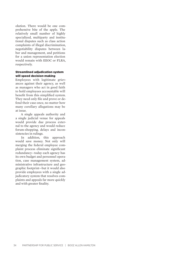olution. There would be one comprehensive bite of the apple. The relatively small number of highly specialized, multiparty and institutional disputes such as class action complaints of illegal discrimination, negotiability disputes between labor and management, and petitions for a union representation election would remain with EEOC or FLRA, respectively.

#### Streamlined adjudication system will speed decision-making

Employees with legitimate grievances against their agency, as well as managers who act in good faith to hold employees accountable will benefit from this simplified system. They need only file and prove or defend their case once, no matter how many corollary allegations may be at issue.

A single appeals authority and a single judicial venue for appeals would provide due process external to the agency and would reduce forum-shopping, delays and inconsistencies in rulings.

In addition, this approach would save money. Not only will merging the federal employee complaint process eliminate significant redundancy—today each agency has its own budget and personnel operation, case management system, administrative infrastructure and geographic footprint—but it would also provide employees with a single adjudicatory system that resolves complaints and appeals far more quickly and with greater finality.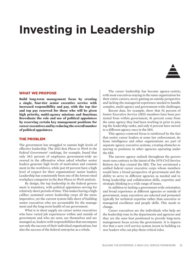# **Investing in Leadership**

#### What We Propose

**Build long-term management focus by creating a single, four-tier senior executive service with increased responsibility and pay, with the top tier and top pay reserved for those who will be given high priority, multi-agency missions and functions. Reevaluate the role and use of political appointees by reserving certain key management positions for career executives and by reducing the overall number of political appointees.**

#### The Problem

The government has struggled to sustain high levels of effective leadership. The 2013 *Best Places to Work in the Federal Government®* rankings, for example, found that only 38.5 percent of employees government-wide answered in the affirmative when asked whether senior leaders generate high levels of motivation and commitment in the workforce, while just 49 percent have a high level of respect for their organizations' senior leaders. Leadership has consistently been one of the lowest rated workplace categories in the *Best Places to Work* analysis.

By design, the top leadership in the federal government is transitory, with political appointees serving for relatively short periods of time. This makes having a highcaliber, sustained career leadership corps all the more imperative, yet the current system falls short of building senior executives who are accountable for the management and the long-term health of our government.

What is in short supply are career senior executives who have varied job experiences within and outside of government and who are seen, see themselves and are managed as, leaders with responsibilities that encompass not only the success of their individual organizations, but also the success of the federal enterprise as a whole.

The career leadership has become agency-centric, with most executives staying in the same organization for their entire careers, never gaining an outside perspective and lacking the managerial experience needed to handle complex, multi-agency and government-wide challenges.

Recent data, for example, show that 92 percent of Senior Executive Service (SES) members have been promoted from within government, 81 percent come from the same agency they had been working in prior to joining the leadership ranks, and only 8 percent have moved to a different agency once in the SES.

This agency-centered focus is reinforced by the fact that senior career leaders at some law enforcement, defense intelligence and other organizations are part of separate agency executive systems, creating obstacles to moving to positions in other agencies operating under the SES.

The narrow agency outlook throughout the government runs contrary to the intent of the 1978 Civil Service Reform Act that created the SES. The law envisioned a unified federal career executive corps whose members would have a broad perspective of government and the ability to serve in different agencies as needed and to bring leadership and collaboration skills, expertise and strategic thinking to a wide range of issues.

In addition to lacking a government-wide orientation and broad experience at different agencies or outside of government, many executives are selected and promoted typically for technical expertise rather than executive or managerial excellence and people skills. This needs to change.

Career executives are the individuals who help set the leadership tone in the departments and agencies and they are the ones best positioned to provide long-term management focus across the government. It is imperative that a new civil service system invest in building career leaders who can play these critical roles.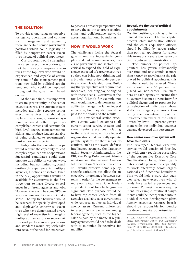#### The Solution

To provide a long-range perspective for agency operations and continuity in management and leadership, there are certain senior government positions which could logically be filled by nonpartisan career executives instead of political appointees.

Our proposal would strengthen the career executive workforce, in part by creating enterprise executives at the top level who would be experienced and capable of assuming some of the management positions now held by political appointees, and who could be deployed throughout the government based on need.

At the same time, it is important to create greater unity in the senior executive corps. The current system includes multiple, separate senior executive services that should be replaced by a single, four-tier system that would better prepare accomplished career civil servants for high-level agency management positions and produce leaders capable of being assigned to government's most important projects.

Entry into the executive corps would require the capability to lead complex organizations or operations. Successful candidates could demonstrate this ability in various ways, including, but not limited to, actual on-the-job experience in multiple agencies, functions or sectors. Once in the SES, opportunities would be available for executives in the first three tiers to have diverse experiences in different agencies and jobs. However, there will be some SES positions where mobility may not make sense. The top tier however, would be reserved for specially developed and deployable enterprise executives who have demonstrated a very high level of expertise in managing multiple organizations or sectors. At this level, performance expectations and standards would explicitly take into account the need for executives

to possess a broader perspective and to have the ability to create relationships and collaborative networks across organizational boundaries.

#### **HOW IT WOULD WORK**

The challenges facing the federal government are increasingly complex and cut across agencies, levels of government and sectors. It is critical to expand the field of experience expected of career executives so they can bring new thinking and a broader, enterprise-wide perspective to their leadership roles. Building that perspective will require that incentives, including pay, be aligned with these needs. Executives at the top level (Tier 4), for example, not only would have to demonstrate the ability to manage the larger federal enterprise, but they also would be paid for the effort and the results.

The new federal senior executive system would encompass all current senior service systems and career senior executives including, to the extent feasible, those federal organizations that currently operate parallel systems for their senior executives, such as the several defense intelligence agencies, the Transportation Security Administration, the FBI, the Drug Enforcement Administration and the Federal Aviation Administration. The executive corps still would preserve some agencyspecific variations but allow for an executive interchange between systems in order for the government to more easily tap into a richer leadership talent pool for challenging assignments. The purpose would be to have top career leaders from all agencies available as a governmentwide resource, not just as individual agency assets. Current differences in executive compensation among federal agencies, such as the higher salaries paid by the financial regulatory agencies, would need to be dealt with to minimize disincentives for mobility.

#### Reevaluate the use of political appointments

C-suite positions, such as chief financial officers, chief human capital officers, chief information officers and the chief acquisition officers, should be filled by career rather than political appointees for renewable terms of six years to ensure continuity between administrations.

The number of political appointees has grown substantially over time and now stands at more than 4,000.<sup>6</sup> In reevaluating the role played by political appointees, this number should be reduced. There also should be a 10 percent cap placed on non-career SES members at each agency to ensure that no agency becomes a repository for political favors and to promote better selection of individuals whose skills match agency missions. Currently, the percentage of political non-career members of the SES is limited by law to 10 percent government-wide, but individual agencies can and do exceed this percentage.

#### New senior executive system will have four levels

The revamped federal executive service would consist of four levels, with entry requiring possession of the current five Executive Core Qualifications. In addition, candidates should possess the capability to work effectively across organizational and functional boundaries. This would help ensure that agencies select new executives who already have varied experiences and outlooks. To meet the new requirement, for example, rotational assignments could be incorporated into individual career development plans. Agency executive resource boards should be responsible for identifying developmental opportunities in

<sup>6</sup> U.S. House of Representatives, *United States Government Policy and Supporting Positions* (Washington, D.C.: U.S. Government Printing Office, 2012), 200, http://1.usa. gov/1dqLqGi (accessed 19 March 2014).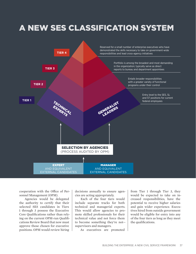### A New SES Classification System



cooperation with the Office of Personnel Management (OPM).

Agencies would be delegated the authority to certify that their selected SES candidates in Tiers 1 through 3 possess the Executive Core Qualifications rather than relying on the current OPM-run Qualifications Review Board that now must approve those chosen for executive positions. OPM would review hiring

decisions annually to ensure agencies are acting appropriately.

Each of the four tiers would include separate tracks for both technical and managerial experts. This would allow agencies to promote skilled professionals for their technical value and not force them to become something they're not supervisors and managers.

As executives are promoted

from Tier 1 through Tier 3, they would be expected to take on increased responsibilities, have the potential to receive higher salaries and gain wider experience. Executives hired from outside government would be eligible for entry into any of the four tiers as long as they meet the qualifications.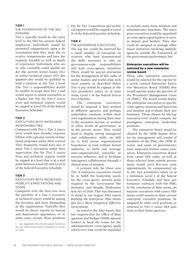#### **Tier 1**

The foundation of the SES PYRAMID pyramid

Tier 1 typically would be the entry level to the SES for current federal employees. Individuals would be promoted competitively upon a determination that they meet the executive competencies and have the requisite breadth as well as depth of experience. Individuals who are or who currently could qualify under the current senior leader (SL) or senior technical expert (ST) designation also would be qualified to hold a position at the Tier 1 level. The Tier 1 responsibilities would be smaller in scope than Tier 2 and would report to senior executives at a higher tier. Pay for Tier 1 executives and technical experts would be capped at Level III of the federal Executive Schedule.7

#### **Tier 2**

#### Executives with increased **RESPONSIBILITIES** responsibilities

Compared with Tier 1, Tier 2 executives would have broader responsibilities with a greater variety of functional programs under their control. They frequently would have one or more Tier 1 executives under their supervision. Pay for Tier 2 executives and technical experts would be capped at a level that is at a midpoint between Level III and Level II of the federal Executive Schedule.

#### **Tier 3**

#### Executives with increased mobility expectations and SCOPE scope

Compared with the first two tiers, the portfolio of a Tier 3 executive or technical expert would be among the broadest and most demanding in the organization. Typically they would be direct reports to bureau and department appointees, or in some cases occupy those positions.

Pay for Tier 3 executives and technical experts would be capped at Level II of the federal Executive Schedule.

#### **Tier 4**

#### The enterprise executives

The top tier would be reserved for a small number of enterprise executives who have demonstrated the skills necessary to take on government-wide responsibilities and lead cross-agency initiatives. There would be special provisions for the management of this cadre of senior leaders and world-class technical experts as described below. Tier 4 pay would be capped at the vice president's salary or, at minimum, Level I of the federal Executive Schedule.

The enterprise executives would be required to have worked at different agencies and perhaps undertaken rotations within their own organizations during their time in the executive service, or worked at other levels of government or in the private sector. They would need to display strong managerial and collaborative skills, an ability to lead across organizational boundaries, to lead without formal authority, to build and leverage inter-organizational networks to exercise influence, and to facilitate interagency collaboration through a shared sense of mission.

A primary role for these new Tier 4 enterprise executives would be to fulfill the leadership needs for the cross-agency priority goals required by the Government Performance and Results Modernization Act of 2010. This was discussed in detail in our August 2013 report, *Building the Enterprise: Nine Strategies for a More Integrated, Effective Government*.

As noted in the 2013 report, this law requires that the Office of Management and Budget (OMB) appoint leaders to head the teams for the administration's cross-agency goals, which over time could be expanded to include many more missions and administrative functions. The enterprise executives would be appointed as cross-agency goal leaders or serve as deputy goal leaders. They also could be assigned to manage other major initiatives involving multiple agencies outside the framework of the government performance law.

#### Enterprise executives will be selected by a new enterprise review board

These elite enterprise executives would be selected for the top tier by a newly created Enterprise Executive Resources Board (EERB) that would operate under the purview of the President's Management Council (PMC). The board would deploy the enterprise executives to specific cross-agency missions and functions, and monitor and evaluate their performance. Those chosen for the top executive level would compete for prestigious enterprise leadership positions.

The enterprise board would be chaired by the OMB deputy director for management and consist of members of the PMC, the OPM director and some of government's most respected former career executives. Enterprise executives drawn from career SES ranks, as well as those selected from outside government, would serve five-year term appointments, be compensated up to the vice president's salary or at a minimum Level I of the federal Executive Schedule and have performance contracts with the PMC. At the conclusion of their terms, enterprise executives with career SES status could remain in their current enterprise executive positions, be assigned to other such positions or returned to Tier 3 career SES positions in their home agencies.

<sup>7</sup> See Appendix Two for the salary levels under the federal Executive Schedule as of Dec. 23, 2013.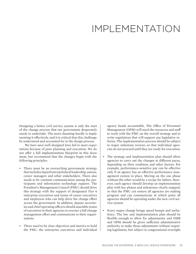### IMPLEMENTATION

Designing a better civil service system is only the start of the change process that our government desperately needs to undertake. The more daunting hurdle is implementing it effectively, and it is critical that this challenge be understood and accounted for in the design process.

We have seen well-designed laws fail to meet expectations because of poor planning and execution. We do not offer a full implementation blueprint in this document, but recommend that the changes begin with the following principles:

- There must be an overarching government strategy that includes input from top federal leadership, unions, career managers and other stakeholders. There also needs to be constant communication among the participants and information technology support. The President's Management Council (PMC) should drive this strategy with the support of designated Tier 4 enterprise executives and teams of career executives and employees who can help drive the change effort across the government. In addition, deputy secretaries and chief operating officers should assemble teams of executives in their agencies to oversee a full change management effort and communicate to their organizations.
- There need to be clear objectives and metrics to hold the PMC, the enterprise executives and individual

agency heads accountable. The Office of Personnel Management (OPM) will need the resources and staff to work with the PMC on the overall strategy and to write regulations that will support any legislative reforms. The implementation process should be subject to major milestone reviews so that individual agencies do not proceed until they are ready for execution.

- The strategy and implementation plan should allow agencies to carry out the changes at different paces, depending on their readiness and other factors. For example, performance-sensitive pay can be effective only if an agency has an effective performance management system in place. Moving on the one phase without the other would be a recipe for failure. However, each agency should develop an implementation plan with key phases and milestones clearly mapped, so that the PMC can ensure all agencies are making progress and can communicate at which point all agencies should be operating under the new civil service system.
- Every major change brings speed bumps and turbulence. The law and implementation plan should be flexible enough to allow for adjustments, and OMB and OPM should be given sufficient administrative authority to make those adjustments without requiring legislation, but subject to congressional oversight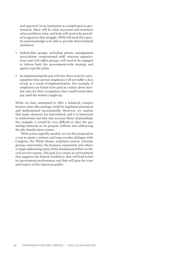and approval. In an institution as complicated as government, there will be clear successes and instances when problems arise, and help will need to be provided to agencies that struggle. OPM will need the capacity and knowledge to be able to provide that technical assistance.

- Stakeholder groups, including unions, management associations, congressional staff, veterans organizations and civil rights groups, will need to be engaged to inform both the government-wide strategy and agency-specific plans.
- In implementing the pay reforms, there must be a presumption that current employees will not suffer a loss of pay as a result of implementation. For example, if employees are found to be paid at a salary above market rates for their occupation, they would retain their pay until the market caught up.

While we have attempted to offer a balanced, comprehensive plan, this package could be legislated piecemeal and implemented incrementally. However, we caution that many elements are interrelated, and it is important to understand and take into account those relationships. For example, it would be very difficult to alter the paysetting elements as we propose without also addressing the job classification system.

With action urgently needed, we see this proposal as a way to ignite a serious and long overdue dialogue with Congress, the White House, employee unions, veterans groups, universities, the business community and others to begin addressing many of the fundamental flaws in the civil service system. The goal is to create an environment that supports the federal workforce, that will lead to better government performance and that will gain the trust and respect of the American public.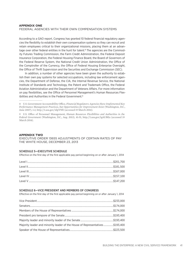#### **Appendix ONE**

#### Federal agencies with their own compensation systems

According to a GAO report, Congress has granted 10 federal financial regulatory agencies the flexibility to establish their own compensation systems so they can recruit and retain employees critical to their organizational missions, placing them at an advantage over other federal entities in the hunt for talent.<sup>8</sup> The agencies are the Commodity Futures Trading Commission, the Farm Credit Administration, the Federal Deposit Insurance Corporation, the Federal Housing Finance Board, the Board of Governors of the Federal Reserve System, the National Credit Union Administration, the Office of the Comptroller of the Currency, the Office of Federal Housing Enterprise Oversight, the Office of Thrift Supervision and the Securities and Exchange Commission (SEC).

In addition, a number of other agencies have been given the authority to establish their own pay systems for selected occupations, including law enforcement agencies, the Department of Defense, the CIA, the Internal Revenue Service, the National Institute of Standards and Technology, the Patent and Trademark Office, the Federal Aviation Administration and the Department of Veterans Affairs. For more information on pay flexibilities, see the Office of Personnel Management's Human Resources Flexibilities and Authorities in the Federal Government.<sup>9</sup>

#### **Appendix TWO**

EXECUTIVE ORDER 13655 ADJUSTMENTS OF CERTAIN RATES OF PAY THE WHITE HOUSE, December 23, 2013

#### SCHEDULE 5—EXECUTIVE SCHEDULE

Effective on the first day of the first applicable pay period beginning on or after January 1, 2014

#### SCHEDULE 6—VICE PRESIDENT AND MEMBERS OF CONGRESS

Effective on the first day of the first applicable pay period beginning on or after January 1, 2014

| Majority leader and minority leader of the House of Representatives\$193,400 |  |
|------------------------------------------------------------------------------|--|
|                                                                              |  |

<sup>8</sup> U.S. Government Accountability Office, *Financial Regulators: Agencies Have Implemented Key Performance Management Practices, but Opportunities for Improvement Exist (Washington, D.C.,* June 2007), 1-2, http://1.usa.gov/1dpYNft (accessed 19 March 2014).

<sup>9</sup> U.S. Office of Personnel Management, *Human Resources Flexibilities and Authorities in the Federal Government* (Washington, D.C., Aug. 2013), 41-51, http://1.usa.gov/1gAUBEa (accessed 19 March 2014).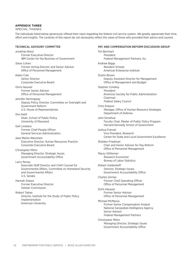#### **Appendix THREE**

SPECIAL THANKS

The individuals listed below generously offered their input regarding the federal civil service system. We greatly appreciate their time, effort and insights. The contents of this report do not necessarily reflect the views of those who provided their advice and counsel.

#### Technical Advisory Committee

Jonathan Breul Former Executive Director IBM Center for the Business of Government Steve Cohen Former Acting Director and Senior Advisor Office of Personnel Management Adam Cole Senior Director Corporate Executive Board Doris Hausser Former Senior Advisor Office of Personnel Management Jennifer Hemingway Deputy Policy Director, Committee on Oversight and Government Reform U.S. House of Representatives Don Kettl Dean, School of Public Policy University of Maryland Gail Lovelace Former Chief People Officer General Services Administration Jean Martin-Weinstein Executive Director, Human Resources Practice Corporate Executive Board Christopher Mihm Managing Director, Strategic Issues Government Accountability Office Larry Novey Associate Staff Director and Chief Counsel for Governmental Affairs, Committee on Homeland Security and Governmental Affairs U.S. Senate Hannah Sistare Former Executive Director Volcker Commission Robert Tobias Director, Institute for the Study of Public Policy Implementation American University

#### Pay and Compensation Reform Discussion Group

Tim Barnhart President Federal Management Partners, Inc. Andrew Biggs Resident Scholar American Enterprise Institute Dustin Brown Deputy Assistant Director for Management Office of Management and Budget Stephen Condrey President American Society for Public Administration Chairman Federal Salary Council Chris Dobyns Manager, Office of Human Resource Strategies Department of Defense John Donahue Faculty Chair, Master of Public Policy Program Harvard Kennedy School of Government Joshua Franzel Vice President, Research Center for State and Local Government Excellence Sheldon Friedman Chair and Senior Advisor for Pay Reform Office of Personnel Management Maury Gittleman Research Economist Bureau of Labor Statistics Robert Goldenkoff Director, Strategic Issues Government Accountability Office Charles Grimes Former Chief Operating Officer Office of Personnel Management Doris Hausser Former Senior Advisor Office of Personnel Management Michael McManus Former Senior Compensation Analyst National Geospatial-Intelligence Agency Senior Advisor Federal Management Partners Christopher Mihm Managing Director, Strategic Issues Government Accountability Office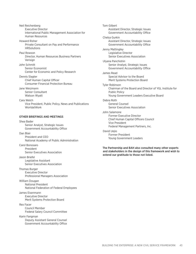Neil Reichenberg Executive Director International Public Management Association for Human Resources

Howard Risher Private Consultant on Pay and Performance **HRSolutions** 

#### Paul Rowson Director, Human Resources Business Partners Verisign

John Schmitt Senior Economist Center for Economic and Policy Research

Dennis Slagter Chief Human Capital Officer Consumer Financial Protection Bureau

Jane Weizmann Senior Consultant Watson Wyatt

Cara Welch Vice President, Public Policy, News and Publications **WorldatWork** 

#### Other Briefings AND MEETINGS

Shea Bader Senior Analyst, Strategic Issues Government Accountability Office

Dan Blair President and CEO National Academy of Public Administration

Carol Bonosaro President Senior Executives Association

Jason Briefel Legislative Assistant Senior Executives Association

Thomas Burger Executive Director Professional Managers Association

William Dougan National President National Federation of Federal Employees

James Eisenmann Executive Director Merit Systems Protection Board

Rex Facer Council Member Federal Salary Council Committee

Karin Fangman Deputy Assistant General Counsel Government Accountability Office

Tom Gilbert Assistant Director, Strategic Issues Government Accountability Office Chelsa Gurkin Assistant Director, Strategic Issues Government Accountability Office Jenny Mattingley Legislative Director Senior Executives Association Ulyana Panchishin Senior Analyst, Strategic Issues Government Accountability Office James Read Special Advisor to the Board Merit Systems Protection Board Tyler Robinson Chairman of the Board and Director of YGL Institute for Public Policy Young Government Leaders Executive Board Debra Roth General Counsel Senior Executives Association John Salamone Former Executive Director Chief Human Capital Officers Council Vice President Federal Management Partners, Inc. David Uejio Former President Young Government Leaders

The Partnership and BAH also consulted many other experts and stakeholders in the design of this framework and wish to extend our gratitude to those not listed.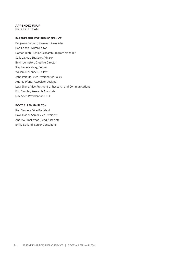#### **Appendix FOUR**

PROJECT TEAM

#### Partnership for Public Service

Benjamin Bennett, Research Associate Bob Cohen, Writer/Editor Nathan Dietz, Senior Research Program Manager Sally Jaggar, Strategic Advisor Bevin Johnston, Creative Director Stephanie Mabrey, Fellow William McConnell, Fellow John Palguta, Vice President of Policy Audrey Pfund, Associate Designer Lara Shane, Vice President of Research and Communications Erin Simpler, Research Associate Max Stier, President and CEO

#### Booz Allen Hamilton

Ron Sanders, Vice President Dave Mader, Senior Vice President Andrew Smallwood, Lead Associate Emily Ecklund, Senior Consultant